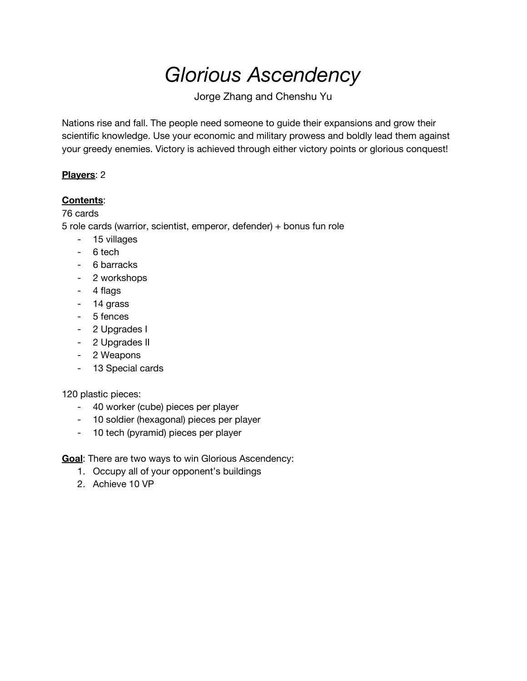# *Glorious Ascendency*

Jorge Zhang and Chenshu Yu

Nations rise and fall. The people need someone to guide their expansions and grow their scientific knowledge. Use your economic and military prowess and boldly lead them against your greedy enemies. Victory is achieved through either victory points or glorious conquest!

#### **Players**: 2

## **Contents**:

## 76 cards

5 role cards (warrior, scientist, emperor, defender) + bonus fun role

- 15 villages
- 6 tech
- 6 barracks
- 2 workshops
- 4 flags
- 14 grass
- 5 fences
- 2 Upgrades I
- 2 Upgrades II
- 2 Weapons
- 13 Special cards

#### 120 plastic pieces:

- 40 worker (cube) pieces per player
- 10 soldier (hexagonal) pieces per player
- 10 tech (pyramid) pieces per player

**Goal**: There are two ways to win Glorious Ascendency:

- 1. Occupy all of your opponent's buildings
- 2. Achieve 10 VP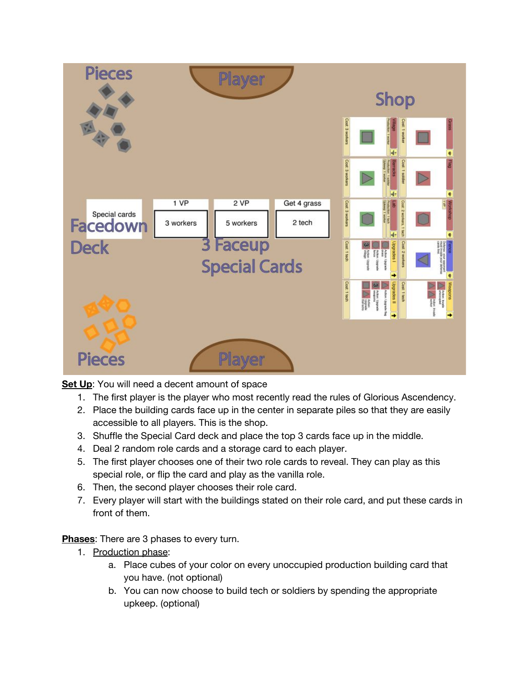

**Set Up**: You will need a decent amount of space

- 1. The first player is the player who most recently read the rules of Glorious Ascendency.
- 2. Place the building cards face up in the center in separate piles so that they are easily accessible to all players. This is the shop.
- 3. Shuffle the Special Card deck and place the top 3 cards face up in the middle.
- 4. Deal 2 random role cards and a storage card to each player.
- 5. The first player chooses one of their two role cards to reveal. They can play as this special role, or flip the card and play as the vanilla role.
- 6. Then, the second player chooses their role card.
- 7. Every player will start with the buildings stated on their role card, and put these cards in front of them.

**Phases**: There are 3 phases to every turn.

- 1. Production phase:
	- a. Place cubes of your color on every unoccupied production building card that you have. (not optional)
	- b. You can now choose to build tech or soldiers by spending the appropriate upkeep. (optional)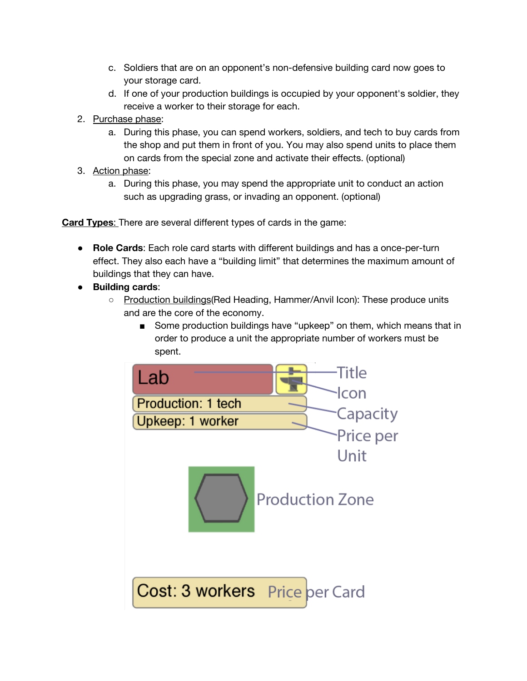- c. Soldiers that are on an opponent's non-defensive building card now goes to your storage card.
- d. If one of your production buildings is occupied by your opponent's soldier, they receive a worker to their storage for each.
- 2. Purchase phase:
	- a. During this phase, you can spend workers, soldiers, and tech to buy cards from the shop and put them in front of you. You may also spend units to place them on cards from the special zone and activate their effects. (optional)
- 3. Action phase:
	- a. During this phase, you may spend the appropriate unit to conduct an action such as upgrading grass, or invading an opponent. (optional)

**Card Types**: There are several different types of cards in the game:

- **Role Cards**: Each role card starts with different buildings and has a once-per-turn effect. They also each have a "building limit" that determines the maximum amount of buildings that they can have.
- **Building cards**:
	- Production buildings (Red Heading, Hammer/Anvil Icon): These produce units and are the core of the economy.
		- Some production buildings have "upkeep" on them, which means that in order to produce a unit the appropriate number of workers must be spent.

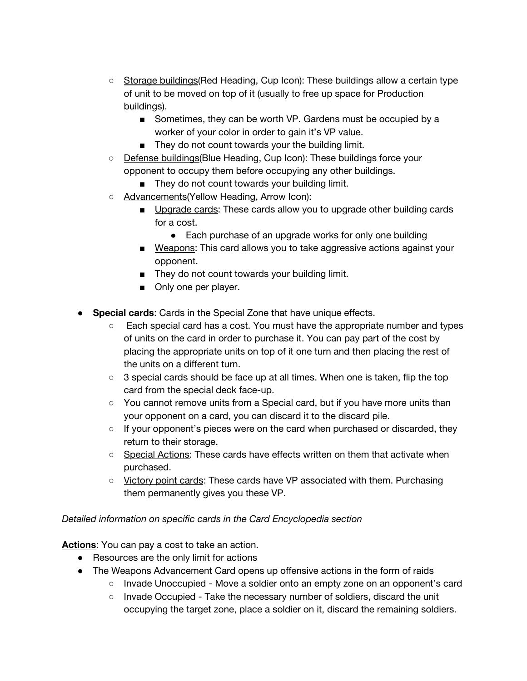- Storage buildings(Red Heading, Cup Icon): These buildings allow a certain type of unit to be moved on top of it (usually to free up space for Production buildings).
	- Sometimes, they can be worth VP. Gardens must be occupied by a worker of your color in order to gain it's VP value.
	- They do not count towards your the building limit.
- Defense buildings(Blue Heading, Cup Icon): These buildings force your opponent to occupy them before occupying any other buildings.
	- They do not count towards your building limit.
- Advancements(Yellow Heading, Arrow Icon):
	- Upgrade cards: These cards allow you to upgrade other building cards for a cost.
		- Each purchase of an upgrade works for only one building
	- Weapons: This card allows you to take aggressive actions against your opponent.
	- They do not count towards your building limit.
	- Only one per player.
- **Special cards**: Cards in the Special Zone that have unique effects.
	- Each special card has a cost. You must have the appropriate number and types of units on the card in order to purchase it. You can pay part of the cost by placing the appropriate units on top of it one turn and then placing the rest of the units on a different turn.
	- $\circ$  3 special cards should be face up at all times. When one is taken, flip the top card from the special deck face-up.
	- You cannot remove units from a Special card, but if you have more units than your opponent on a card, you can discard it to the discard pile.
	- $\circ$  If your opponent's pieces were on the card when purchased or discarded, they return to their storage.
	- Special Actions: These cards have effects written on them that activate when purchased.
	- Victory point cards: These cards have VP associated with them. Purchasing them permanently gives you these VP.

#### *Detailed information on specific cards in the Card Encyclopedia section*

**Actions**: You can pay a cost to take an action.

- Resources are the only limit for actions
- The Weapons Advancement Card opens up offensive actions in the form of raids
	- Invade Unoccupied Move a soldier onto an empty zone on an opponent's card
	- Invade Occupied Take the necessary number of soldiers, discard the unit occupying the target zone, place a soldier on it, discard the remaining soldiers.